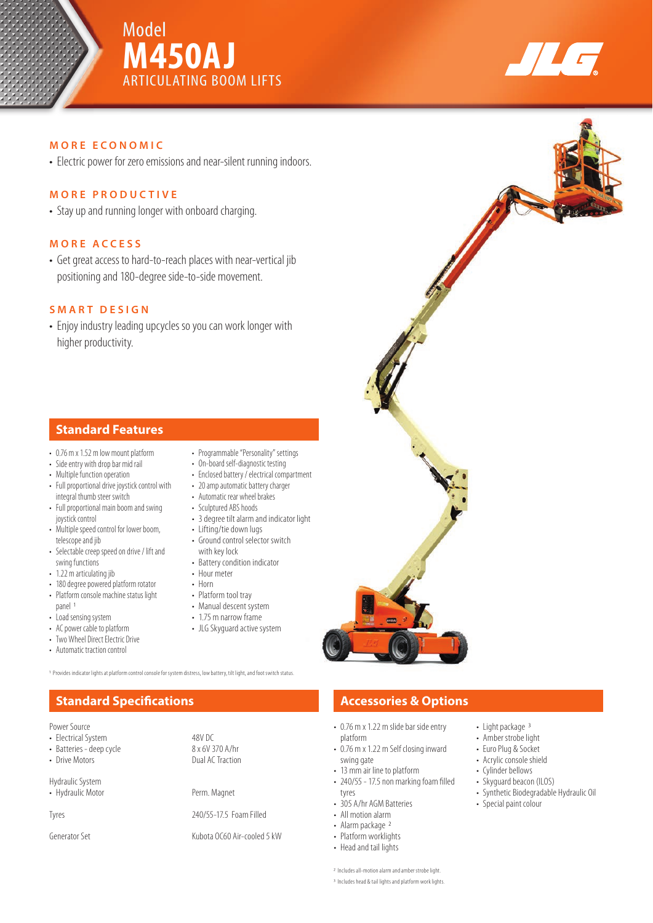





## **MORE ECONOMIC**

• Electric power for zero emissions and near-silent running indoors.

## **MORE PRODUCTIVE**

• Stay up and running longer with onboard charging.

## **MORE ACCESS**

• Get great access to hard-to-reach places with near-vertical jib positioning and 180-degree side-to-side movement.

## **SMART DESIGN**

• Enjoy industry leading upcycles so you can work longer with higher productivity.

## **Standard Features**

- 0.76 m x 1.52 m low mount platform
- Side entry with drop bar mid rail
- Multiple function operation
- Full proportional drive joystick control with integral thumb steer switch
- Full proportional main boom and swing joystick control
- Multiple speed control for lower boom, telescope and jib
- Selectable creep speed on drive / lift and swing functions
- 1.22 m articulating jib
- 180 degree powered platform rotator • Platform console machine status light panel 1
- Load sensing system
- AC power cable to platform
- Two Wheel Direct Electric Drive
- Automatic traction control
- Programmable "Personality" settings • On-board self-diagnostic testing
- Enclosed battery / electrical compartment
- 20 amp automatic battery charger
- Automatic rear wheel brakes
- Sculptured ABS hoods
- 3 degree tilt alarm and indicator light
- Lifting/tie down lugs
- Ground control selector switch with key lock
- Battery condition indicator
- Hour meter
- Horn

48V DC<br>8 x 6V 370 A/hr

Dual AC Traction

- Platform tool tray
- Manual descent system
- 1.75 m narrow frame
- JLG Skyguard active system

1 Provides indicator lights at platform control console for system distress, low battery, tilt light, and foot switch status.

# **Standard Specifications Accessories & Options**

| Power Source |  |
|--------------|--|
|--------------|--|

|  | <b>Electrical System</b> |  |
|--|--------------------------|--|
|  |                          |  |

- Batteries deep cycle<br>• Drive Motors
- 

Hydraulic System

• Hydraulic Motor Perm. Magnet

Tyres 240/55-17.5 Foam Filled

Generator Set **Kubota OC60 Air-cooled 5 kW** 

- 0.76 m x 1.22 m slide bar side entry platform
- 0.76 m x 1.22 m Self closing inward swing gate
- 13 mm air line to platform
- $\cdot$  240/55 17.5 non marking foam filled tyres
- 
- All motion alarm • Alarm package 2
- 
- Platform worklights • Head and tail lights
- 

2 Includes all-motion alarm and amber strobe light. 3 Includes head & tail lights and platform work lights.

- Light package 3
- Amber strobe light
- Euro Plug & Socket
- Acrylic console shield
- Cylinder bellows
- Skyguard beacon (ILOS)
- Synthetic Biodegradable Hydraulic Oil
- Special paint colour
- 305 A/hr AGM Batteries